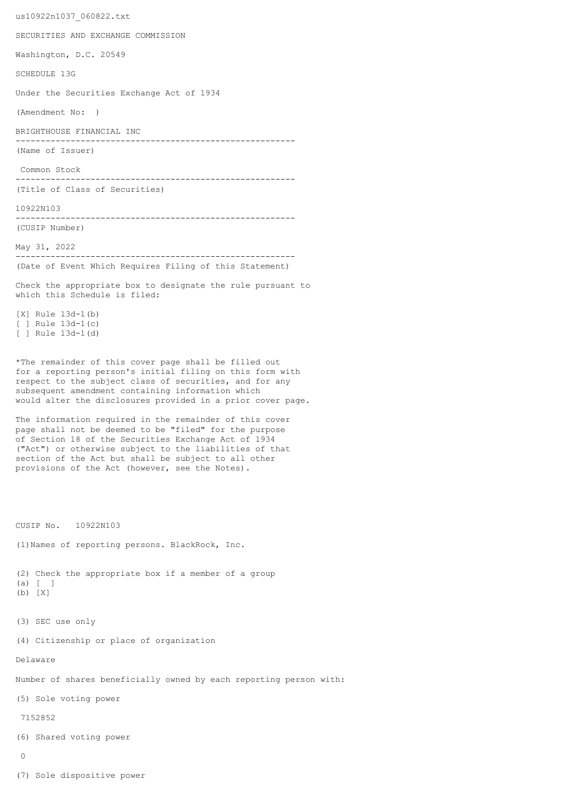us10922n1037\_060822.txt SECURITIES AND EXCHANGE COMMISSION Washington, D.C. 20549 SCHEDULE 13G Under the Securities Exchange Act of 1934 (Amendment No: ) BRIGHTHOUSE FINANCIAL INC -------------------------------------------------------- (Name of Issuer) Common Stock -------------------------------------------------------- (Title of Class of Securities) 10922N103 -------------------------------------------------------- (CUSIP Number) May 31, 2022 -------------------------------------------------------- (Date of Event Which Requires Filing of this Statement) Check the appropriate box to designate the rule pursuant to which this Schedule is filed: [X] Rule 13d-1(b) [ ] Rule 13d-1(c) [ ] Rule 13d-1(d) \*The remainder of this cover page shall be filled out for a reporting person's initial filing on this form with respect to the subject class of securities, and for any subsequent amendment containing information which would alter the disclosures provided in a prior cover page. The information required in the remainder of this cover page shall not be deemed to be "filed" for the purpose of Section 18 of the Securities Exchange Act of 1934 ("Act") or otherwise subject to the liabilities of that section of the Act but shall be subject to all other provisions of the Act (however, see the Notes). CUSIP No. 10922N103 (1)Names of reporting persons. BlackRock, Inc. (2) Check the appropriate box if a member of a group (a) [ ] (b) [X] (3) SEC use only (4) Citizenship or place of organization Delaware Number of shares beneficially owned by each reporting person with: (5) Sole voting power 7152852 (6) Shared voting power  $\cap$ 

(7) Sole dispositive power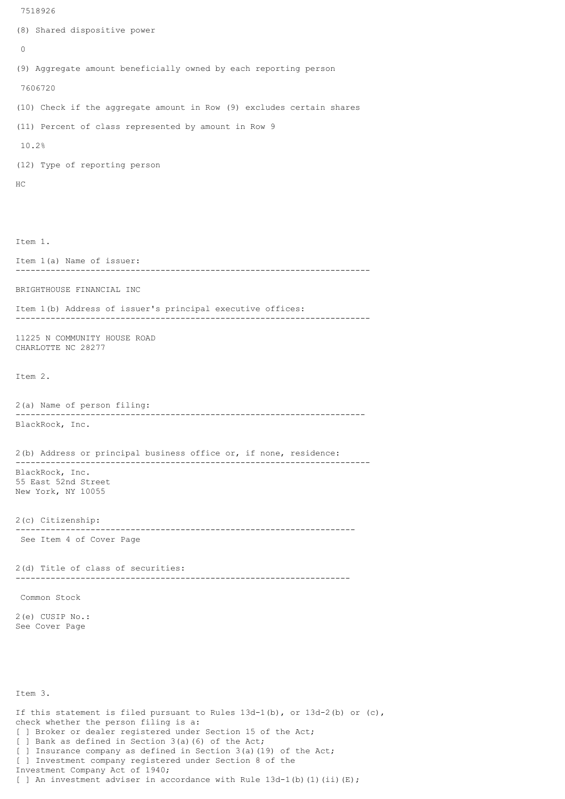```
(8) Shared dispositive power
 \Omega(9) Aggregate amount beneficially owned by each reporting person
 7606720
(10) Check if the aggregate amount in Row (9) excludes certain shares
(11) Percent of class represented by amount in Row 9
 10.2%
(12) Type of reporting person
HC
Item 1.
Item 1(a) Name of issuer:
          -----------------------------------------------------------------------
BRIGHTHOUSE FINANCIAL INC
Item 1(b) Address of issuer's principal executive offices:
-----------------------------------------------------------------------
11225 N COMMUNITY HOUSE ROAD
CHARLOTTE NC 28277
Item 2.
2(a) Name of person filing:
    ----------------------------------------------------------------------
BlackRock, Inc.
2(b) Address or principal business office or, if none, residence:
-----------------------------------------------------------------------
BlackRock, Inc.
55 East 52nd Street
New York, NY 10055
2(c) Citizenship:
 --------------------------------------------------------------------
 See Item 4 of Cover Page
2(d) Title of class of securities:
                                    -------------------------------------------------------------------
 Common Stock
2(e) CUSIP No.:
See Cover Page
Item 3.
If this statement is filed pursuant to Rules 13d-1(b), or 13d-2(b) or (c),
check whether the person filing is a:
[ ] Broker or dealer registered under Section 15 of the Act;
[ ] Bank as defined in Section 3(a)(6) of the Act;
[ ] Insurance company as defined in Section 3(a)(19) of the Act;
```
[ ] Investment company registered under Section 8 of the

[ ] An investment adviser in accordance with Rule  $13d-1$ (b)(1)(ii)(E);

Investment Company Act of 1940;

7518926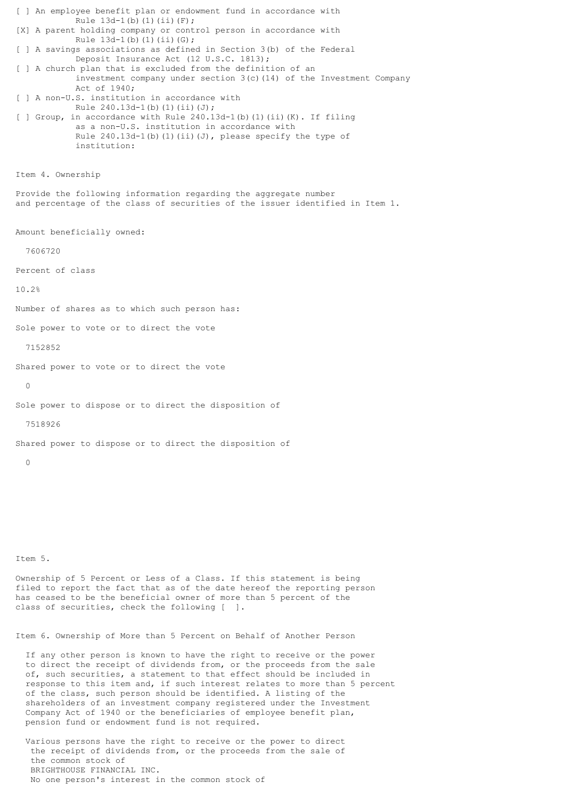[ ] An employee benefit plan or endowment fund in accordance with Rule 13d-1(b)(1)(ii)(F); [X] A parent holding company or control person in accordance with Rule  $13d-1(b)(1)(ii)(G);$ [ ] A savings associations as defined in Section 3(b) of the Federal Deposit Insurance Act (12 U.S.C. 1813); [ ] A church plan that is excluded from the definition of an investment company under section  $3(c)$  (14) of the Investment Company Act of 1940; [ ] A non-U.S. institution in accordance with Rule  $240.13d-1(b)(1)(ii)(J);$ [ ] Group, in accordance with Rule 240.13d-1(b)(1)(ii)(K). If filing as a non-U.S. institution in accordance with Rule  $240.13d-1$ (b)(1)(ii)(J), please specify the type of institution: Item 4. Ownership Provide the following information regarding the aggregate number and percentage of the class of securities of the issuer identified in Item 1. Amount beneficially owned: 7606720 Percent of class 10.2% Number of shares as to which such person has: Sole power to vote or to direct the vote 7152852 Shared power to vote or to direct the vote  $\Omega$ Sole power to dispose or to direct the disposition of 7518926 Shared power to dispose or to direct the disposition of  $\cap$ Item 5. Ownership of 5 Percent or Less of a Class. If this statement is being filed to report the fact that as of the date hereof the reporting person has ceased to be the beneficial owner of more than 5 percent of the class of securities, check the following [ ].

Item 6. Ownership of More than 5 Percent on Behalf of Another Person

 If any other person is known to have the right to receive or the power to direct the receipt of dividends from, or the proceeds from the sale of, such securities, a statement to that effect should be included in response to this item and, if such interest relates to more than 5 percent of the class, such person should be identified. A listing of the shareholders of an investment company registered under the Investment Company Act of 1940 or the beneficiaries of employee benefit plan, pension fund or endowment fund is not required.

 Various persons have the right to receive or the power to direct the receipt of dividends from, or the proceeds from the sale of the common stock of BRIGHTHOUSE FINANCIAL INC. No one person's interest in the common stock of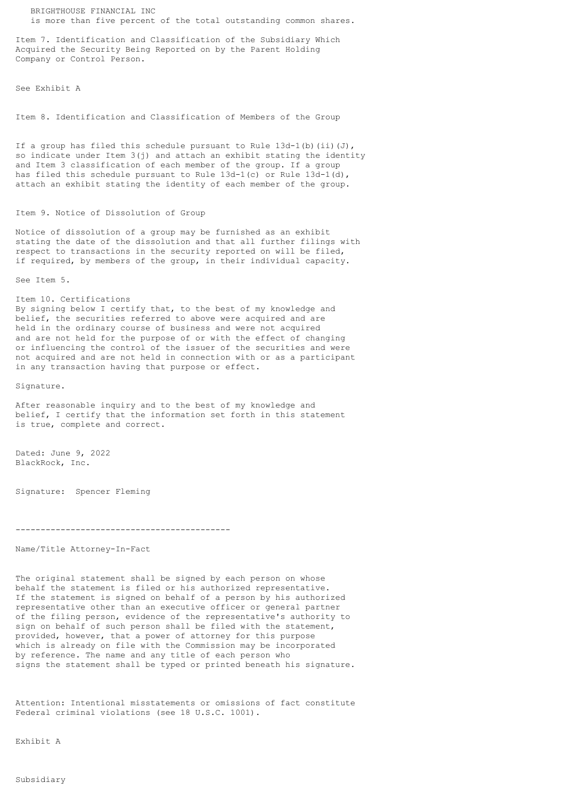BRIGHTHOUSE FINANCIAL INC is more than five percent of the total outstanding common shares.

Item 7. Identification and Classification of the Subsidiary Which Acquired the Security Being Reported on by the Parent Holding Company or Control Person.

See Exhibit A

Item 8. Identification and Classification of Members of the Group

If a group has filed this schedule pursuant to Rule  $13d-1(b)$  (ii)(J), so indicate under Item 3(j) and attach an exhibit stating the identity and Item 3 classification of each member of the group. If a group has filed this schedule pursuant to Rule 13d-1(c) or Rule 13d-1(d), attach an exhibit stating the identity of each member of the group.

## Item 9. Notice of Dissolution of Group

Notice of dissolution of a group may be furnished as an exhibit stating the date of the dissolution and that all further filings with respect to transactions in the security reported on will be filed, if required, by members of the group, in their individual capacity.

See Item 5.

Item 10. Certifications

By signing below I certify that, to the best of my knowledge and belief, the securities referred to above were acquired and are held in the ordinary course of business and were not acquired and are not held for the purpose of or with the effect of changing or influencing the control of the issuer of the securities and were not acquired and are not held in connection with or as a participant in any transaction having that purpose or effect.

Signature.

After reasonable inquiry and to the best of my knowledge and belief, I certify that the information set forth in this statement is true, complete and correct.

Dated: June 9, 2022 BlackRock, Inc.

Signature: Spencer Fleming

```
-------------------------------------------
```
Name/Title Attorney-In-Fact

The original statement shall be signed by each person on whose behalf the statement is filed or his authorized representative. If the statement is signed on behalf of a person by his authorized representative other than an executive officer or general partner of the filing person, evidence of the representative's authority to sign on behalf of such person shall be filed with the statement, provided, however, that a power of attorney for this purpose which is already on file with the Commission may be incorporated by reference. The name and any title of each person who signs the statement shall be typed or printed beneath his signature.

Attention: Intentional misstatements or omissions of fact constitute Federal criminal violations (see 18 U.S.C. 1001).

Exhibit A